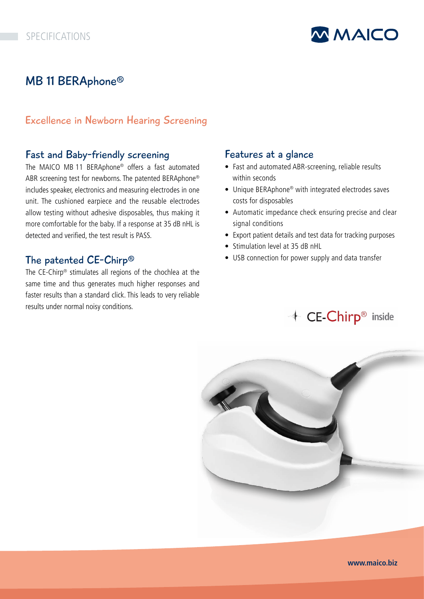

# MB 11 BERAphone®

### Excellence in Newborn Hearing Screening

## Fast and Baby-friendly screening

The MAICO MB 11 BERAphone® offers a fast automated ABR screening test for newborns. The patented BERAphone® includes speaker, electronics and measuring electrodes in one unit. The cushioned earpiece and the reusable electrodes allow testing without adhesive disposables, thus making it more comfortable for the baby. If a response at 35 dB nHL is detected and verified, the test result is PASS.

### The patented CE-Chirp®

The CE-Chirp® stimulates all regions of the chochlea at the same time and thus generates much higher responses and faster results than a standard click. This leads to very reliable results under normal noisy conditions.

#### Features at a glance

- Fast and automated ABR-screening, reliable results within seconds
- Unique BERAphone® with integrated electrodes saves costs for disposables
- Automatic impedance check ensuring precise and clear signal conditions
- Export patient details and test data for tracking purposes
- Stimulation level at 35 dB nHL
- USB connection for power supply and data transfer